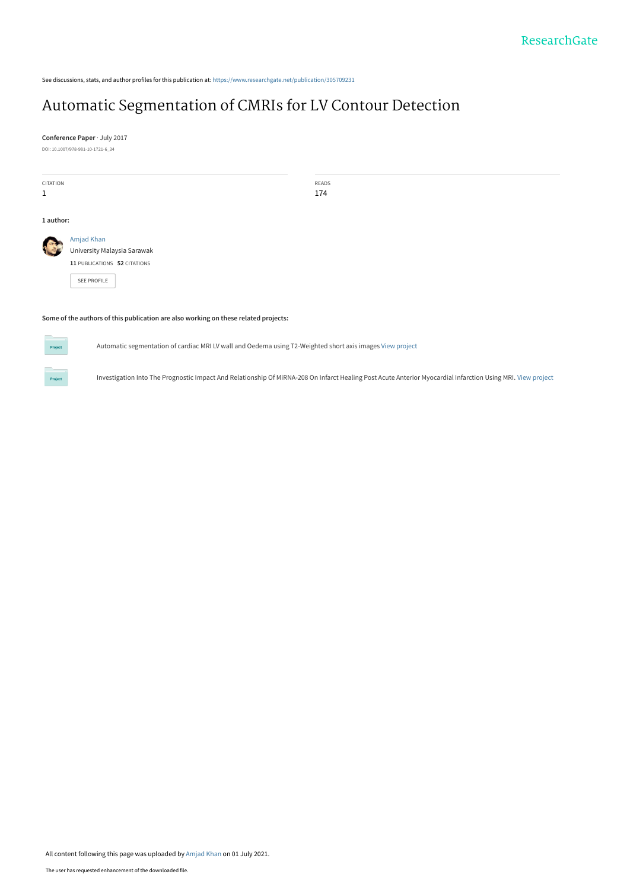See discussions, stats, and author profiles for this publication at: [https://www.researchgate.net/publication/305709231](https://www.researchgate.net/publication/305709231_Automatic_Segmentation_of_CMRIs_for_LV_Contour_Detection?enrichId=rgreq-1fa4550af08ad2c3b3795ad26a21cecb-XXX&enrichSource=Y292ZXJQYWdlOzMwNTcwOTIzMTtBUzoxMDQwNzM1ODE0MDM3NTA2QDE2MjUxNDIxNjIyODc%3D&el=1_x_2&_esc=publicationCoverPdf)

## [Automatic Segmentation of CMRIs for LV Contour Detection](https://www.researchgate.net/publication/305709231_Automatic_Segmentation_of_CMRIs_for_LV_Contour_Detection?enrichId=rgreq-1fa4550af08ad2c3b3795ad26a21cecb-XXX&enrichSource=Y292ZXJQYWdlOzMwNTcwOTIzMTtBUzoxMDQwNzM1ODE0MDM3NTA2QDE2MjUxNDIxNjIyODc%3D&el=1_x_3&_esc=publicationCoverPdf)

**Conference Paper** · July 2017 DOI: 10.1007/978-981-10-1721-6\_34

| CITATION<br>$\mathbf{1}$ |                                                                                          | READS<br>174 |
|--------------------------|------------------------------------------------------------------------------------------|--------------|
| 1 author:                |                                                                                          |              |
| <b>Case</b>              | Amjad Khan<br>University Malaysia Sarawak<br>11 PUBLICATIONS 52 CITATIONS<br>SEE PROFILE |              |

#### **Some of the authors of this publication are also working on these related projects:**



Automatic segmentation of cardiac MRI LV wall and Oedema using T2-Weighted short axis images [View project](https://www.researchgate.net/project/Automatic-segmentation-of-cardiac-MRI-LV-wall-and-Oedema-using-T2-Weighted-short-axis-images?enrichId=rgreq-1fa4550af08ad2c3b3795ad26a21cecb-XXX&enrichSource=Y292ZXJQYWdlOzMwNTcwOTIzMTtBUzoxMDQwNzM1ODE0MDM3NTA2QDE2MjUxNDIxNjIyODc%3D&el=1_x_9&_esc=publicationCoverPdf)

Investigation Into The Prognostic Impact And Relationship Of MiRNA-208 On Infarct Healing Post Acute Anterior Myocardial Infarction Using MRI. [View project](https://www.researchgate.net/project/Investigation-Into-The-Prognostic-Impact-And-Relationship-Of-MiRNA-208-On-Infarct-Healing-Post-Acute-Anterior-Myocardial-Infarction-Using-MRI?enrichId=rgreq-1fa4550af08ad2c3b3795ad26a21cecb-XXX&enrichSource=Y292ZXJQYWdlOzMwNTcwOTIzMTtBUzoxMDQwNzM1ODE0MDM3NTA2QDE2MjUxNDIxNjIyODc%3D&el=1_x_9&_esc=publicationCoverPdf)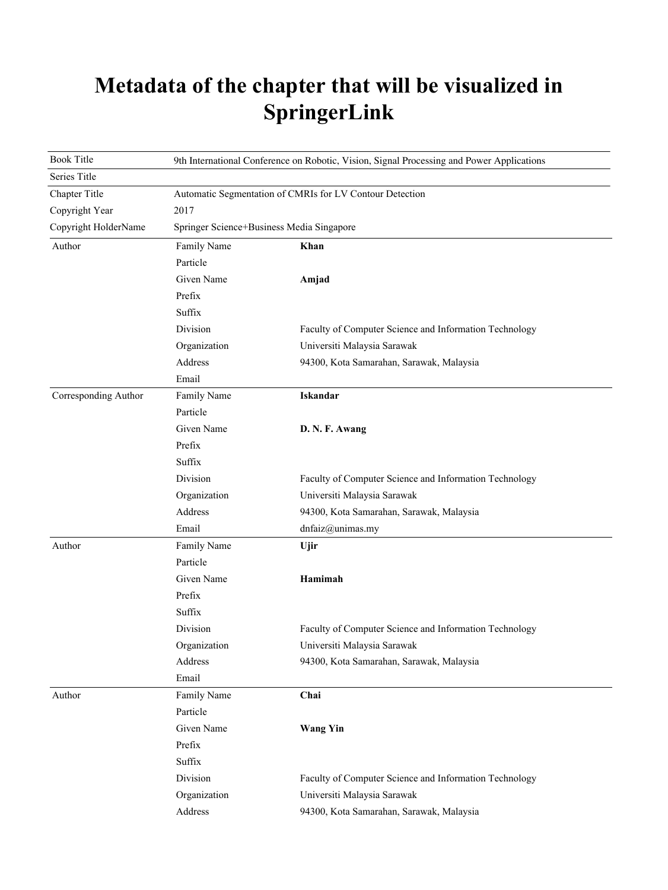## **Metadata of the chapter that will be visualized in SpringerLink**

| <b>Book Title</b>    | 9th International Conference on Robotic, Vision, Signal Processing and Power Applications |                                                        |  |
|----------------------|-------------------------------------------------------------------------------------------|--------------------------------------------------------|--|
| Series Title         |                                                                                           |                                                        |  |
| Chapter Title        | Automatic Segmentation of CMRIs for LV Contour Detection                                  |                                                        |  |
| Copyright Year       | 2017                                                                                      |                                                        |  |
| Copyright HolderName | Springer Science+Business Media Singapore                                                 |                                                        |  |
| Author               | Family Name                                                                               | Khan                                                   |  |
|                      | Particle                                                                                  |                                                        |  |
|                      | Given Name                                                                                | Amjad                                                  |  |
|                      | Prefix                                                                                    |                                                        |  |
|                      | Suffix                                                                                    |                                                        |  |
|                      | Division                                                                                  | Faculty of Computer Science and Information Technology |  |
|                      | Organization                                                                              | Universiti Malaysia Sarawak                            |  |
|                      | Address                                                                                   | 94300, Kota Samarahan, Sarawak, Malaysia               |  |
|                      | Email                                                                                     |                                                        |  |
| Corresponding Author | Family Name                                                                               | <b>Iskandar</b>                                        |  |
|                      | Particle                                                                                  |                                                        |  |
|                      | Given Name                                                                                | D. N. F. Awang                                         |  |
|                      | Prefix                                                                                    |                                                        |  |
|                      | Suffix                                                                                    |                                                        |  |
|                      | Division                                                                                  | Faculty of Computer Science and Information Technology |  |
|                      | Organization                                                                              | Universiti Malaysia Sarawak                            |  |
|                      | Address                                                                                   | 94300, Kota Samarahan, Sarawak, Malaysia               |  |
|                      | Email                                                                                     | dnfaiz@unimas.my                                       |  |
| Author               | Family Name                                                                               | Ujir                                                   |  |
|                      | Particle                                                                                  |                                                        |  |
|                      | Given Name                                                                                | Hamimah                                                |  |
|                      | Prefix                                                                                    |                                                        |  |
|                      | Suffix                                                                                    |                                                        |  |
|                      | Division                                                                                  | Faculty of Computer Science and Information Technology |  |
|                      | Organization                                                                              | Universiti Malaysia Sarawak                            |  |
|                      | Address                                                                                   | 94300, Kota Samarahan, Sarawak, Malaysia               |  |
|                      | Email                                                                                     |                                                        |  |
| Author               | Family Name                                                                               | Chai                                                   |  |
|                      | Particle                                                                                  |                                                        |  |
|                      | Given Name                                                                                | <b>Wang Yin</b>                                        |  |
|                      | Prefix                                                                                    |                                                        |  |
|                      | Suffix                                                                                    |                                                        |  |
|                      | Division                                                                                  | Faculty of Computer Science and Information Technology |  |
|                      | Organization                                                                              | Universiti Malaysia Sarawak                            |  |
|                      | Address                                                                                   | 94300, Kota Samarahan, Sarawak, Malaysia               |  |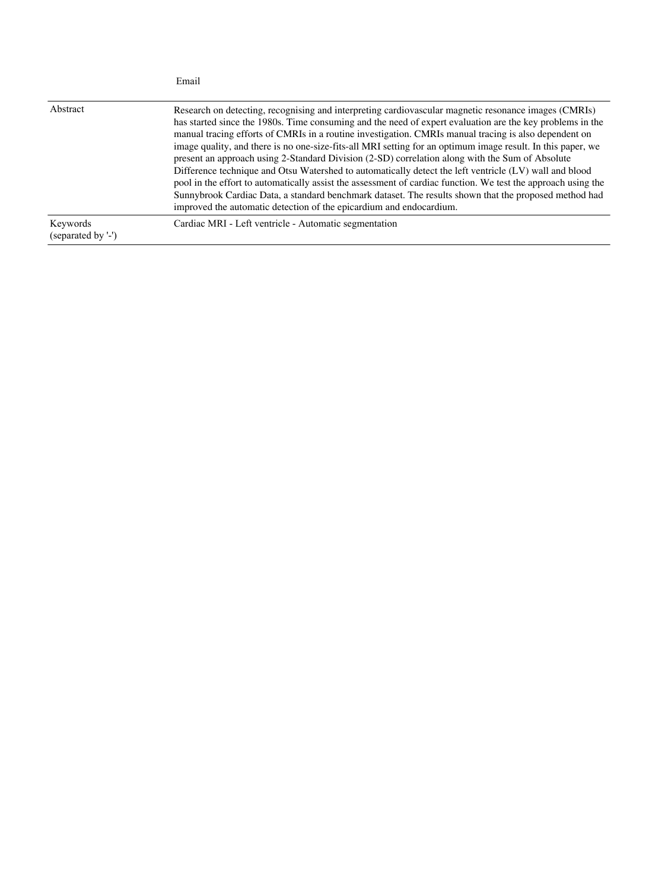|                                | Email                                                                                                                                                                                                                                                                                                                                                                                                                                                                                                                                                                                                                                                                                                                                                                                                                                                                                                                                                   |
|--------------------------------|---------------------------------------------------------------------------------------------------------------------------------------------------------------------------------------------------------------------------------------------------------------------------------------------------------------------------------------------------------------------------------------------------------------------------------------------------------------------------------------------------------------------------------------------------------------------------------------------------------------------------------------------------------------------------------------------------------------------------------------------------------------------------------------------------------------------------------------------------------------------------------------------------------------------------------------------------------|
| Abstract                       | Research on detecting, recognising and interpreting cardiovascular magnetic resonance images (CMRIs)<br>has started since the 1980s. Time consuming and the need of expert evaluation are the key problems in the<br>manual tracing efforts of CMRIs in a routine investigation. CMRIs manual tracing is also dependent on<br>image quality, and there is no one-size-fits-all MRI setting for an optimum image result. In this paper, we<br>present an approach using 2-Standard Division (2-SD) correlation along with the Sum of Absolute<br>Difference technique and Otsu Watershed to automatically detect the left ventricle (LV) wall and blood<br>pool in the effort to automatically assist the assessment of cardiac function. We test the approach using the<br>Sunnybrook Cardiac Data, a standard benchmark dataset. The results shown that the proposed method had<br>improved the automatic detection of the epicardium and endocardium. |
| Keywords<br>(separated by '-') | Cardiac MRI - Left ventricle - Automatic segmentation                                                                                                                                                                                                                                                                                                                                                                                                                                                                                                                                                                                                                                                                                                                                                                                                                                                                                                   |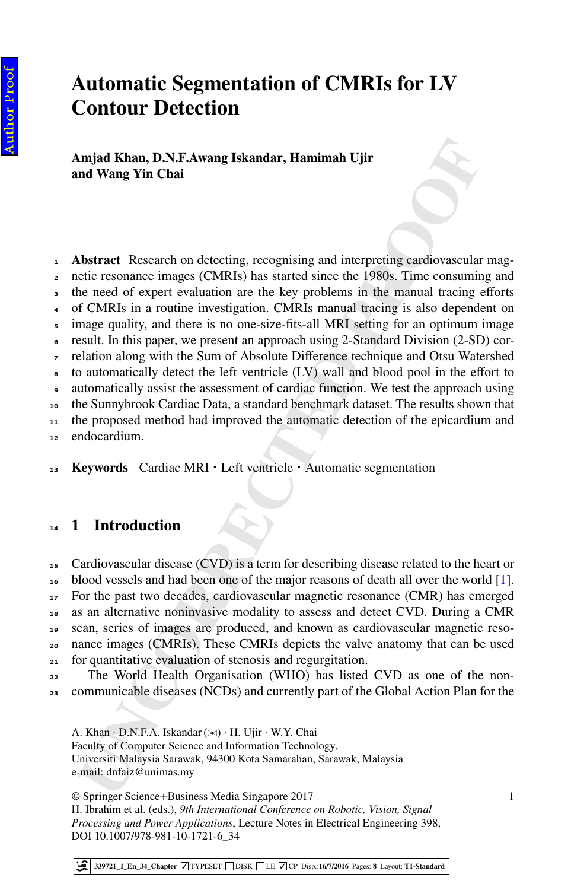### **Automatic Segmentation of CMRIs for LV Contour Detection**

**Amjad Khan, D.N.F.Awang Iskandar, Hamimah Ujir and Wang Yin Chai**

- <sup>1</sup> **Abstract** Research on detecting, recognising and interpreting cardiovascular mag-
- <sup>2</sup> netic resonance images (CMRIs) has started since the 1980s. Time consuming and
- the need of expert evaluation are the key problems in the manual tracing efforts
- <sup>4</sup> of CMRIs in a routine investigation. CMRIs manual tracing is also dependent on
- <sup>5</sup> image quality, and there is no one-size-fits-all MRI setting for an optimum image
- <sup>6</sup> result. In this paper, we present an approach using 2-Standard Division (2-SD) cor-<sup>7</sup> relation along with the Sum of Absolute Difference technique and Otsu Watershed
- to automatically detect the left ventricle (LV) wall and blood pool in the effort to
- <sup>9</sup> automatically assist the assessment of cardiac function. We test the approach using
- <sup>10</sup> the Sunnybrook Cardiac Data, a standard benchmark dataset. The results shown that
- <sup>11</sup> the proposed method had improved the automatic detection of the epicardium and
- <sup>12</sup> endocardium.

<sup>13</sup> **Keywords** Cardiac MRI ⋅ Left ventricle ⋅ Automatic segmentation

#### <sup>14</sup> **1 Introduction**

**Land Khan, D.N.F.Awang Iskandar, Hamimah Ujir**<br> **Und Wang Yin Chai**<br> **Und Wang Yin Chai**<br> **Und Wang Yin Chai**<br> **Und Wang Yin Chai**<br> **Und Wang Yin Chai**<br> **Und Explore Terms** (CMRIs) has started since to 19780s. Time consum Cardiovascular disease (CVD) is a term for describing disease related to the heart or blood vessels and had been one of the major reasons of death all over the world [\[1](#page-8-0)]. For the past two decades, cardiovascular magnetic resonance (CMR) has emerged as an alternative noninvasive modality to assess and detect CVD. During a CMR scan, series of images are produced, and known as cardiovascular magnetic reso- nance images (CMRIs). These CMRIs depicts the valve anatomy that can be used for quantitative evaluation of stenosis and regurgitation.

<sup>22</sup> The World Health Organisation (WHO) has listed CVD as one of the non-<sup>23</sup> communicable diseases (NCDs) and currently part of the Global Action Plan for the

1

A. Khan ⋅ D.N.F.A. Iskandar (✉) ⋅ H. Ujir ⋅ W.Y. Chai

Faculty of Computer Science and Information Technology,

Universiti Malaysia Sarawak, 94300 Kota Samarahan, Sarawak, Malaysia e-mail: dnfaiz@unimas.my

<sup>©</sup> Springer Science+Business Media Singapore 2017

H. Ibrahim et al. (eds.), *9th International Conference on Robotic, Vision, Signal Processing and Power Applications*, Lecture Notes in Electrical Engineering 398, DOI 10.1007/978-981-10-1721-6\_34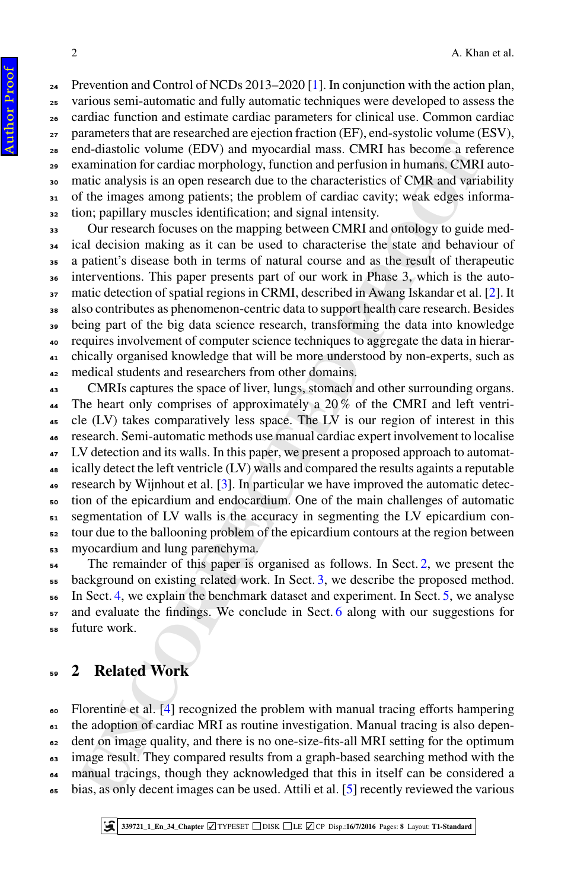24 Prevention and Control of NCDs 2013–2020 [\[1\]](#page-8-0). In conjunction with the action plan, various semi-automatic and fully automatic techniques were developed to assess the cardiac function and estimate cardiac parameters for clinical use. Common cardiac parameters that are researched are ejection fraction (EF), end-systolic volume (ESV), end-diastolic volume (EDV) and myocardial mass. CMRI has become a reference examination for cardiac morphology, function and perfusion in humans. CMRI auto- matic analysis is an open research due to the characteristics of CMR and variability of the images among patients; the problem of cardiac cavity; weak edges informa-tion; papillary muscles identification; and signal intensity.

 Our research focuses on the mapping between CMRI and ontology to guide med- ical decision making as it can be used to characterise the state and behaviour of a patient's disease both in terms of natural course and as the result of therapeutic interventions. This paper presents part of our work in Phase 3, which is the auto- matic detection of spatial regions in CRMI, described in Awang Iskandar et al. [\[2](#page-8-1)]. It also contributes as phenomenon-centric data to support health care research. Besides being part of the big data science research, transforming the data into knowledge requires involvement of computer science techniques to aggregate the data in hierar- chically organised knowledge that will be more understood by non-experts, such as 42 medical students and researchers from other domains.

nd-diastolic volume (FDV) and myocardial mass. [C](#page-8-3)MR1 has become a referent<br>nation for cardial morphology, function and perfusion in humans. CMR1<br>and mathematic analysis is an open research due to the characteristics of CMR CMRIs captures the space of liver, lungs, stomach and other surrounding organs. 44 The heart only comprises of approximately a 20% of the CMRI and left ventri- cle (LV) takes comparatively less space. The LV is our region of interest in this research. Semi-automatic methods use manual cardiac expert involvement to localise <sup>47</sup> LV detection and its walls. In this paper, we present a proposed approach to automat- ically detect the left ventricle (LV) walls and compared the results againts a reputable 49 research by Wijnhout et al.  $[3]$ . In particular we have improved the automatic detec- tion of the epicardium and endocardium. One of the main challenges of automatic segmentation of LV walls is the accuracy in segmenting the LV epicardium con- tour due to the ballooning problem of the epicardium contours at the region between myocardium and lung parenchyma.

 The remainder of this paper is organised as follows. In Sect. 2, we present the background on existing related work. In Sect. 3, we describe the proposed method. In Sect. 4, we explain the benchmark dataset and experiment. In Sect. 5, we analyse and evaluate the findings. We conclude in Sect. 6 along with our suggestions for future work.

#### <span id="page-4-0"></span>**2 Related Work**

 Florentine et al. [4] recognized the problem with manual tracing efforts hampering the adoption of cardiac MRI as routine investigation. Manual tracing is also depen- dent on image quality, and there is no one-size-fits-all MRI setting for the optimum image result. They compared results from a graph-based searching method with the manual tracings, though they acknowledged that this in itself can be considered a bias, as only decent images can be used. Attili et al. [5] recently reviewed the various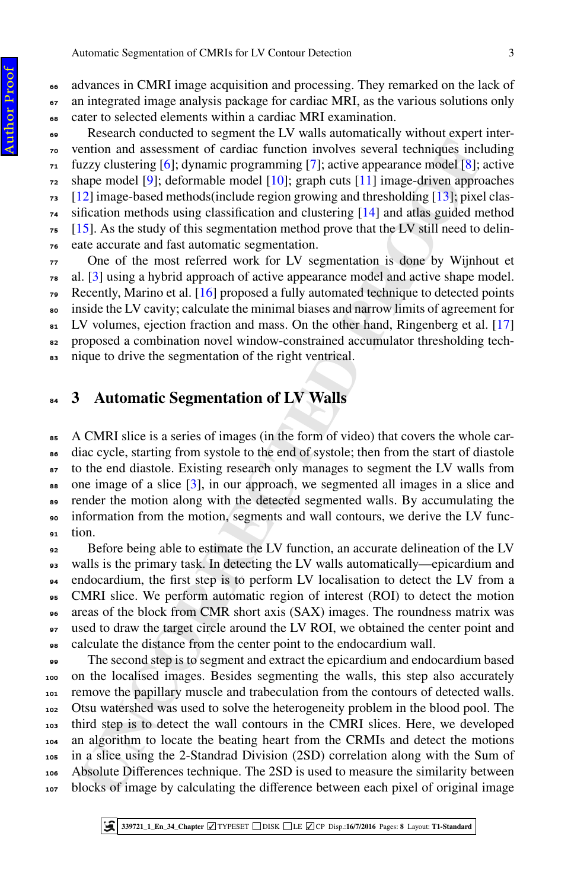advances in CMRI image acquisition and processing. They remarked on the lack of

an integrated image analysis package for cardiac MRI, as the various solutions only

cater to selected elements within a cardiac MRI examination.

 Research conducted to segment the LV walls automatically without expert inter- vention and assessment of cardiac function involves several techniques including  $\tau_1$  fuzzy clustering [6]; dynamic programming [7]; active appearance model [8]; active shape model [9]; deformable model [10]; graph cuts [11] image-driven approaches [12] image-based methods(include region growing and thresholding [13]; pixel clas- sification methods using classification and clustering [14] and atlas guided method [15]. As the study of this segmentation method prove that the LV still need to delin-eate accurate and fast automatic segmentation.

 One of the most referred work for LV segmentation is done by Wijnhout et al. [3] using a hybrid approach of active appearance model and active shape model.  $\alpha$  Recently, Marino et al. [16] proposed a fully automated technique to detected points inside the LV cavity; calculate the minimal biases and narrow limits of agreement for LV volumes, ejection fraction and mass. On the other hand, Ringenberg et al. [\[17\]](#page-9-2) proposed a combination novel window-constrained accumulator thresholding tech-nique to drive the segmentation of the right ventrical.

#### <span id="page-5-0"></span>**3 Automatic Segmentation of LV Walls**

 A CMRI slice is a series of images (in the form of video) that covers the whole car- diac cycle, starting from systole to the end of systole; then from the start of diastole to the end diastole. Existing research only manages to segment the LV walls from 88 one image of a slice [3], in our approach, we segmented all images in a slice and render the motion along with the detected segmented walls. By accumulating the information from the motion, segments and wall contours, we derive the LV func-tion.

 Before being able to estimate the LV function, an accurate delineation of the LV walls is the primary task. In detecting the LV walls automatically—epicardium and endocardium, the first step is to perform LV localisation to detect the LV from a CMRI slice. We perform automatic region of interest (ROI) to detect the motion areas of the block from CMR short axis (SAX) images. The roundness matrix was used to draw the target circle around the LV ROI, we obtained the center point and calculate the distance from the center point to the endocardium wall.

**Entry of Statistical** (for differential products are the spearal rechniques in<br>thange model [9]; deformable model [10]; argin cuts [11]; antige-direct approached [8]; deformable model [10]; argin cuts [11] image-shire app The second step is to segment and extract the epicardium and endocardium based on the localised images. Besides segmenting the walls, this step also accurately remove the papillary muscle and trabeculation from the contours of detected walls. Otsu watershed was used to solve the heterogeneity problem in the blood pool. The third step is to detect the wall contours in the CMRI slices. Here, we developed an algorithm to locate the beating heart from the CRMIs and detect the motions in a slice using the 2-Standrad Division (2SD) correlation along with the Sum of Absolute Differences technique. The 2SD is used to measure the similarity between blocks of image by calculating the difference between each pixel of original image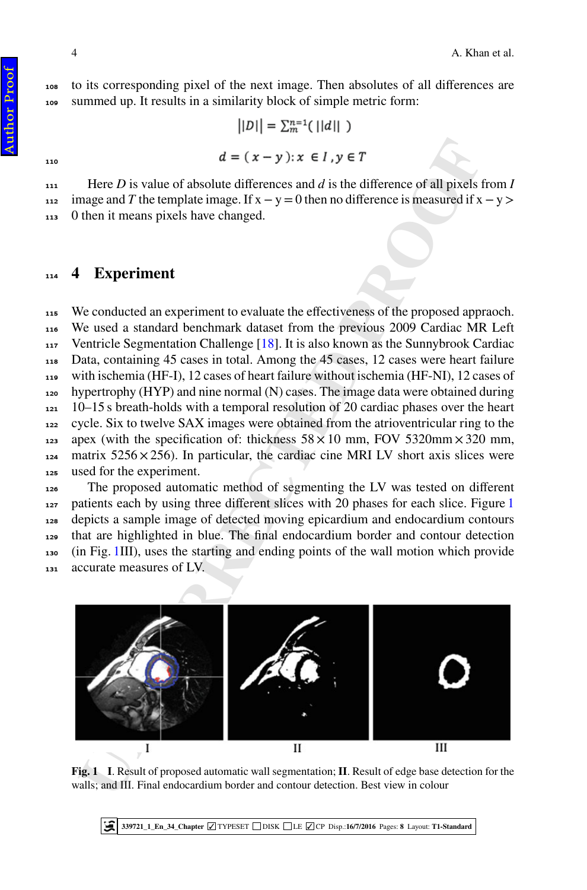$||D|| = \sum_{m=1}^{n=1} (||d||)$ 

 Here *D* is value of absolute differences and *d* is the difference of all pixels from *I* 112 image and *T* the template image. If  $x - y = 0$  then no difference is measured if  $x - y$  > 0 then it means pixels have changed.

#### <span id="page-6-0"></span>**4 Experiment**

 $d = (x - y) : x \in I, y \in T$ <br>
Here *D* is value of absolute differences and *d* is the difference of all pixels<br>
mage and *T* the template image. If  $x - y = 0$  then no difference is measured if x<br>
then it means pixels have changed.<br> We conducted an experiment to evaluate the effectiveness of the proposed appraoch. We used a standard benchmark dataset from the previous 2009 Cardiac MR Left Ventricle Segmentation Challenge [18]. It is also known as the Sunnybrook Cardiac Data, containing 45 cases in total. Among the 45 cases, 12 cases were heart failure with ischemia (HF-I), 12 cases of heart failure without ischemia (HF-NI), 12 cases of hypertrophy (HYP) and nine normal (N) cases. The image data were obtained during  $121 \cdot 10$ –15 s breath-holds with a temporal resolution of 20 cardiac phases over the heart cycle. Six to twelve SAX images were obtained from the atrioventricular ring to the 123 apex (with the specification of: thickness  $58 \times 10$  mm, FOV 5320mm $\times$ 320 mm,  $_{124}$  matrix 5256  $\times$  256). In particular, the cardiac cine MRI LV short axis slices were used for the experiment.

 The proposed automatic method of segmenting the LV was tested on different patients each by using three different slices with 20 phases for each slice. Figure [1](#page-6-1) depicts a sample image of detected moving epicardium and endocardium contours that are highlighted in blue. The final endocardium border and contour detection (in Fig. 1III), uses the starting and ending points of the wall motion which provide accurate measures of LV.



**Fig. 1 I**. Result of proposed automatic wall segmentation; **II**. Result of edge base detection for the walls; and III. Final endocardium border and contour detection. Best view in colour

<span id="page-6-1"></span>**339721\_1\_En\_34\_Chapter ✓** TYPESET DISK LE **✓** CP Disp.:**16/7/2016** Pages: **[8](#page-10-0)** Layout: **T1-Standard** W

Author ProofAuthor Proof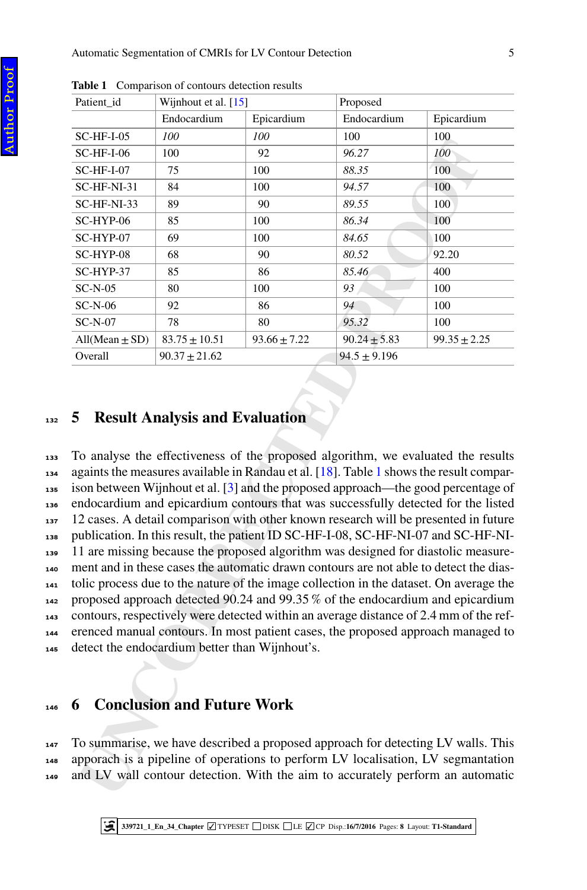| Patient_id                                                                                                                                                                                                                                                                                                                                                                                                                                                                                                                                                                                                                                                                                                                                                                                                                                                                                                                                                                                                                                                                                                               | Wijnhout et al. [15]                |                  | Proposed         |                                                                                                                                                                                                                                                        |  |  |  |
|--------------------------------------------------------------------------------------------------------------------------------------------------------------------------------------------------------------------------------------------------------------------------------------------------------------------------------------------------------------------------------------------------------------------------------------------------------------------------------------------------------------------------------------------------------------------------------------------------------------------------------------------------------------------------------------------------------------------------------------------------------------------------------------------------------------------------------------------------------------------------------------------------------------------------------------------------------------------------------------------------------------------------------------------------------------------------------------------------------------------------|-------------------------------------|------------------|------------------|--------------------------------------------------------------------------------------------------------------------------------------------------------------------------------------------------------------------------------------------------------|--|--|--|
|                                                                                                                                                                                                                                                                                                                                                                                                                                                                                                                                                                                                                                                                                                                                                                                                                                                                                                                                                                                                                                                                                                                          | Endocardium                         | Epicardium       | Endocardium      | Epicardium                                                                                                                                                                                                                                             |  |  |  |
| $SC-HF-I-05$                                                                                                                                                                                                                                                                                                                                                                                                                                                                                                                                                                                                                                                                                                                                                                                                                                                                                                                                                                                                                                                                                                             | 100                                 | 100              | 100              | 100                                                                                                                                                                                                                                                    |  |  |  |
| $SC-HF-I-06$                                                                                                                                                                                                                                                                                                                                                                                                                                                                                                                                                                                                                                                                                                                                                                                                                                                                                                                                                                                                                                                                                                             | 100                                 | 92               | 96.27            | 100                                                                                                                                                                                                                                                    |  |  |  |
| $SC-HF-I-07$                                                                                                                                                                                                                                                                                                                                                                                                                                                                                                                                                                                                                                                                                                                                                                                                                                                                                                                                                                                                                                                                                                             | 75                                  | 100              | 88.35            | 100                                                                                                                                                                                                                                                    |  |  |  |
| SC-HF-NI-31                                                                                                                                                                                                                                                                                                                                                                                                                                                                                                                                                                                                                                                                                                                                                                                                                                                                                                                                                                                                                                                                                                              | 84                                  | 100              | 94.57            | 100                                                                                                                                                                                                                                                    |  |  |  |
| SC-HF-NI-33                                                                                                                                                                                                                                                                                                                                                                                                                                                                                                                                                                                                                                                                                                                                                                                                                                                                                                                                                                                                                                                                                                              | 89                                  | 90               | 89.55            | 100                                                                                                                                                                                                                                                    |  |  |  |
| SC-HYP-06                                                                                                                                                                                                                                                                                                                                                                                                                                                                                                                                                                                                                                                                                                                                                                                                                                                                                                                                                                                                                                                                                                                | 85                                  | 100              | 86.34            | 100                                                                                                                                                                                                                                                    |  |  |  |
| SC-HYP-07                                                                                                                                                                                                                                                                                                                                                                                                                                                                                                                                                                                                                                                                                                                                                                                                                                                                                                                                                                                                                                                                                                                | 69                                  | 100              | 84.65            | 100                                                                                                                                                                                                                                                    |  |  |  |
| SC-HYP-08                                                                                                                                                                                                                                                                                                                                                                                                                                                                                                                                                                                                                                                                                                                                                                                                                                                                                                                                                                                                                                                                                                                | 68                                  | 90               | 80.52            | 92.20                                                                                                                                                                                                                                                  |  |  |  |
| SC-HYP-37                                                                                                                                                                                                                                                                                                                                                                                                                                                                                                                                                                                                                                                                                                                                                                                                                                                                                                                                                                                                                                                                                                                | 85                                  | 86               | 85.46            | 400                                                                                                                                                                                                                                                    |  |  |  |
| $SC-N-05$                                                                                                                                                                                                                                                                                                                                                                                                                                                                                                                                                                                                                                                                                                                                                                                                                                                                                                                                                                                                                                                                                                                | 80                                  | 100              | 93               | 100                                                                                                                                                                                                                                                    |  |  |  |
| $SC-N-06$                                                                                                                                                                                                                                                                                                                                                                                                                                                                                                                                                                                                                                                                                                                                                                                                                                                                                                                                                                                                                                                                                                                | 92                                  | 86               | 94               | 100                                                                                                                                                                                                                                                    |  |  |  |
| $SC-N-07$                                                                                                                                                                                                                                                                                                                                                                                                                                                                                                                                                                                                                                                                                                                                                                                                                                                                                                                                                                                                                                                                                                                | 78                                  | 80               | 95.32            | 100                                                                                                                                                                                                                                                    |  |  |  |
| $All(Mean \pm SD)$                                                                                                                                                                                                                                                                                                                                                                                                                                                                                                                                                                                                                                                                                                                                                                                                                                                                                                                                                                                                                                                                                                       | $83.75 \pm 10.51$                   | $93.66 \pm 7.22$ | $90.24 \pm 5.83$ | $99.35 \pm 2.25$                                                                                                                                                                                                                                       |  |  |  |
| Overall                                                                                                                                                                                                                                                                                                                                                                                                                                                                                                                                                                                                                                                                                                                                                                                                                                                                                                                                                                                                                                                                                                                  | $90.37 \pm 21.62$                   |                  | $94.5 \pm 9.196$ |                                                                                                                                                                                                                                                        |  |  |  |
| To analyse the effectiveness of the proposed algorithm, we evaluated the results<br>againts the measures available in Randau et al. [18]. Table 1 shows the result compar-<br>ison between Wijnhout et al. [3] and the proposed approach—the good percentage of<br>endocardium and epicardium contours that was successfully detected for the listed<br>12 cases. A detail comparison with other known research will be presented in future<br>publication. In this result, the patient ID SC-HF-I-08, SC-HF-NI-07 and SC-HF-NI-<br>11 are missing because the proposed algorithm was designed for diastolic measure-<br>ment and in these cases the automatic drawn contours are not able to detect the dias-<br>tolic process due to the nature of the image collection in the dataset. On average the<br>proposed approach detected 90.24 and 99.35% of the endocardium and epicardium<br>contours, respectively were detected within an average distance of 2.4 mm of the ref-<br>erenced manual contours. In most patient cases, the proposed approach managed to<br>detect the endocardium better than Wijnhout's. |                                     |                  |                  |                                                                                                                                                                                                                                                        |  |  |  |
|                                                                                                                                                                                                                                                                                                                                                                                                                                                                                                                                                                                                                                                                                                                                                                                                                                                                                                                                                                                                                                                                                                                          | <b>6</b> Conclusion and Future Work |                  |                  | To summarise, we have described a proposed approach for detecting LV walls. This<br>apporach is a pipeline of operations to perform LV localisation, LV segmantation<br>and LV wall contour detection. With the aim to accurately perform an automatic |  |  |  |
|                                                                                                                                                                                                                                                                                                                                                                                                                                                                                                                                                                                                                                                                                                                                                                                                                                                                                                                                                                                                                                                                                                                          |                                     |                  |                  |                                                                                                                                                                                                                                                        |  |  |  |

**Table 1** Comparison of contours detection results

<span id="page-7-2"></span>Author ProofAuthor Proof

#### <span id="page-7-0"></span><sup>132</sup> **5 Result Analysis and Evaluation**

 To analyse the effectiveness of the proposed algorithm, we evaluated the results againts the measures available in Randau et al. [18]. Table 1 shows the result compar- ison between Wijnhout et al. [3] and the proposed approach—the good percentage of endocardium and epicardium contours that was successfully detected for the listed 12 cases. A detail comparison with other known research will be presented in future publication. In this result, the patient ID SC-HF-I-08, SC-HF-NI-07 and SC-HF-NI- 11 are missing because the proposed algorithm was designed for diastolic measure- ment and in these cases the automatic drawn contours are not able to detect the dias- tolic process due to the nature of the image collection in the dataset. On average the proposed approach detected 90.24 and 99.35 % of the endocardium and epicardium contours, respectively were detected within an average distance of 2.4 mm of the ref- erenced manual contours. In most patient cases, the proposed approach managed to detect the endocardium better than Wijnhout's.

#### <span id="page-7-1"></span><sup>146</sup> **6 Conclusion and Future Work**

<sup>147</sup> To summarise, we have described a proposed approach for detecting LV walls. This <sup>148</sup> apporach is a pipeline of operations to perform LV localisation, LV segmantation <sup>149</sup> and LV wall contour detection. With the aim to accurately perform an automatic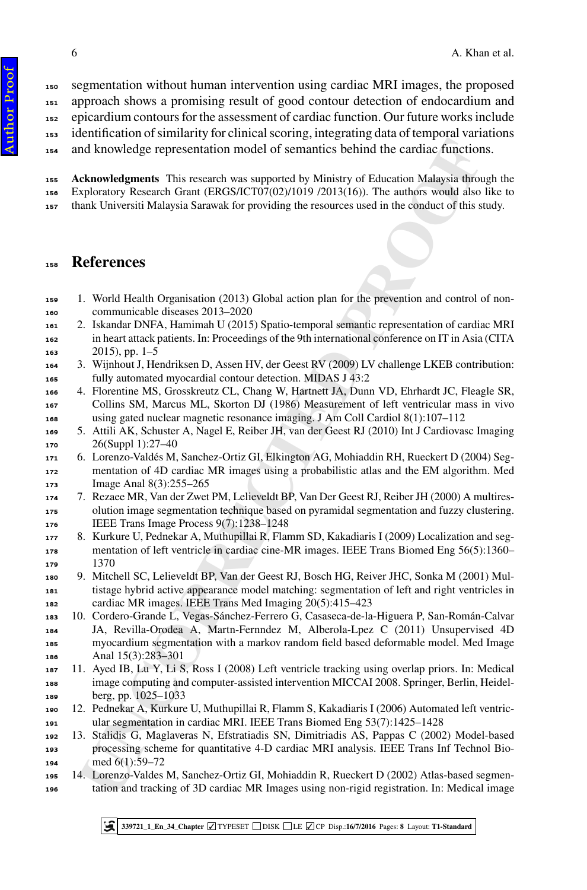segmentation without human intervention using cardiac MRI images, the proposed approach shows a promising result of good contour detection of endocardium and

epicardium contours for the assessment of cardiac function. Our future works include

identification of similarity for clinical scoring, integrating data of temporal variations

and knowledge representation model of semantics behind the cardiac functions.

 **Acknowledgments** This research was supported by Ministry of Education Malaysia through the Exploratory Research Grant (ERGS/ICT07(02)/1019 /2013(16)). The authors would also like to thank Universiti Malaysia Sarawak for providing the resources used in the conduct of this study.

#### **References**

- <span id="page-8-0"></span> 1. World Health Organisation (2013) Global action plan for the prevention and control of non-communicable diseases 2013–2020
- <span id="page-8-1"></span> 2. Iskandar DNFA, Hamimah U (2015) Spatio-temporal semantic representation of cardiac MRI in heart attack patients. In: Proceedings of the 9th international conference on IT in Asia (CITA 163 , pp. 1–5
- <span id="page-8-2"></span> 3. Wijnhout J, Hendriksen D, Assen HV, der Geest RV (2009) LV challenge LKEB contribution: fully automated myocardial contour detection. MIDAS J 43:2
- <span id="page-8-3"></span> 4. Florentine MS, Grosskreutz CL, Chang W, Hartnett JA, Dunn VD, Ehrhardt JC, Fleagle SR, Collins SM, Marcus ML, Skorton DJ (1986) Measurement of left ventricular mass in vivo using gated nuclear magnetic resonance imaging. J Am Coll Cardiol 8(1):107–112
- <span id="page-8-4"></span> 5. Attili AK, Schuster A, Nagel E, Reiber JH, van der Geest RJ (2010) Int J Cardiovasc Imaging 26(Suppl 1):27–40
- <span id="page-8-5"></span> 6. Lorenzo-Valdés M, Sanchez-Ortiz GI, Elkington AG, Mohiaddin RH, Rueckert D (2004) Seg- mentation of 4D cardiac MR images using a probabilistic atlas and the EM algorithm. Med 173 Image Anal 8(3):255–265
- <span id="page-8-6"></span>7. Rezaee MR, Van der Zwet PM, Lelieveldt BP, Van Der Geest RJ, Reiber JH (2000) A multires- olution image segmentation technique based on pyramidal segmentation and fuzzy clustering. IEEE Trans Image Process 9(7):1238–1248
- <span id="page-8-7"></span> 8. Kurkure U, Pednekar A, Muthupillai R, Flamm SD, Kakadiaris I (2009) Localization and segmentation of left ventricle in cardiac cine-MR images. IEEE Trans Biomed Eng 56(5):1360– 1370
- <span id="page-8-9"></span><span id="page-8-8"></span> 9. Mitchell SC, Lelieveldt BP, Van der Geest RJ, Bosch HG, Reiver JHC, Sonka M (2001) Mul- tistage hybrid active appearance model matching: segmentation of left and right ventricles in cardiac MR images. IEEE Trans Med Imaging 20(5):415–423
- nd knowledge representation model of semantics behind the cardiac function<br>**cknowledge representation** model of semantics behind the cardiac function<br>spheratory Research transit (FRGS/CTU/02)/U09 /2013(16). The authors wo 10. Cordero-Grande L, Vegas-Sánchez-Ferrero G, Casaseca-de-la-Higuera P, San-Román-Calvar JA, Revilla-Orodea A, Martn-Fernndez M, Alberola-Lpez C (2011) Unsupervised 4D myocardium segmentation with a markov random field based deformable model. Med Image Anal 15(3):283–301
- <span id="page-8-10"></span>11. Ayed IB, Lu Y, Li S, Ross I (2008) Left ventricle tracking using overlap priors. In: Medical image computing and computer-assisted intervention MICCAI 2008. Springer, Berlin, Heidel-berg, pp. 1025–1033
- <span id="page-8-11"></span> 12. Pednekar A, Kurkure U, Muthupillai R, Flamm S, Kakadiaris I (2006) Automated left ventricular segmentation in cardiac MRI. IEEE Trans Biomed Eng 53(7):1425–1428
- <span id="page-8-12"></span> 13. Stalidis G, Maglaveras N, Efstratiadis SN, Dimitriadis AS, Pappas C (2002) Model-based processing scheme for quantitative 4-D cardiac MRI analysis. IEEE Trans Inf Technol Bio-med 6(1):59–72
- <span id="page-8-13"></span>14. Lorenzo-Valdes M, Sanchez-Ortiz GI, Mohiaddin R, Rueckert D (2002) Atlas-based segmen-
- tation and tracking of 3D cardiac MR Images using non-rigid registration. In: Medical image

**339721\_1\_En\_34\_Chapter** ✓ TYPESET DISK LE ✓ CP Disp.:**16/7/2016** Pages: **[8](#page-10-0)** Layout: **T1-Standard**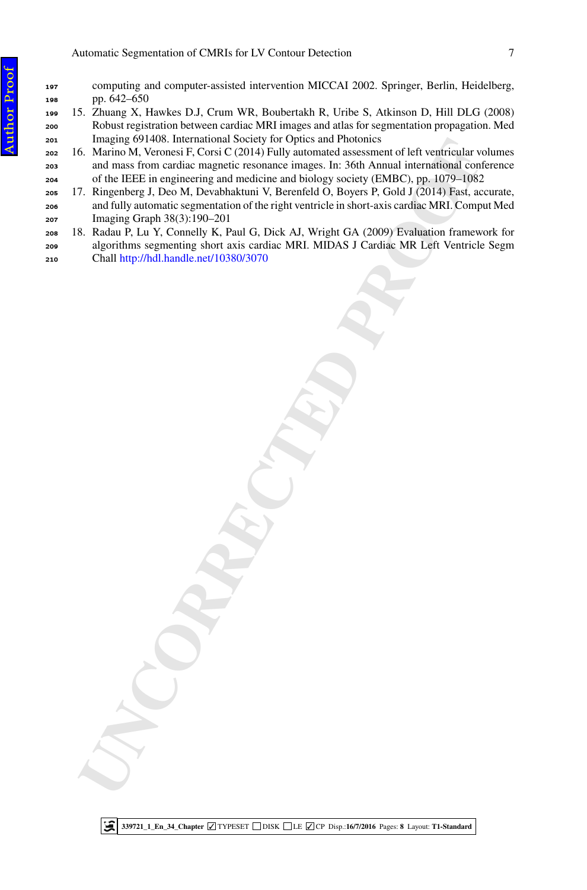- computing and computer-assisted intervention MICCAI 2002. Springer, Berlin, Heidelberg, pp. 642–650
- 15. Zhuang X, Hawkes D.J, Crum WR, Boubertakh R, Uribe S, Atkinson D, Hill DLG (2008) Robust registration between cardiac MRI images and atlas for segmentation propagation. Med Imaging 691408. International Society for Optics and Photonics
- Integral of Machine Material Science of Machine Science of the Highlighton of the High manufacturistic resonance images. In: 366 Annual interpretistic and the High interpretistic resonance images. In: 366 Annual interpreti 16. Marino M, Veronesi F, Corsi C (2014) Fully automated assessment of left ventricular volumes and mass from cardiac magnetic resonance images. In: 36th Annual international conference of the IEEE in engineering and medicine and biology society (EMBC), pp. 1079–1082
- 17. Ringenberg J, Deo M, Devabhaktuni V, Berenfeld O, Boyers P, Gold J (2014) Fast, accurate, and fully automatic segmentation of the right ventricle in short-axis cardiac MRI. Comput Med Imaging Graph 38(3):190–201
- <span id="page-9-3"></span> 18. Radau P, Lu Y, Connelly K, Paul G, Dick AJ, Wright GA (2009) Evaluation framework for algorithms segmenting short axis cardiac MRI. MIDAS J Cardiac MR Left Ventricle Segm
- Chall http://hdl.handle.net/10380/3070

<span id="page-9-2"></span><span id="page-9-1"></span><span id="page-9-0"></span>

**339721\_1\_En\_34\_Chapter** ✓ TYPESET DISK LE ✓ CP Disp.:**16/7/2016** Pages: **[8](#page-10-0)** Layout: **T1-Standard** ⋐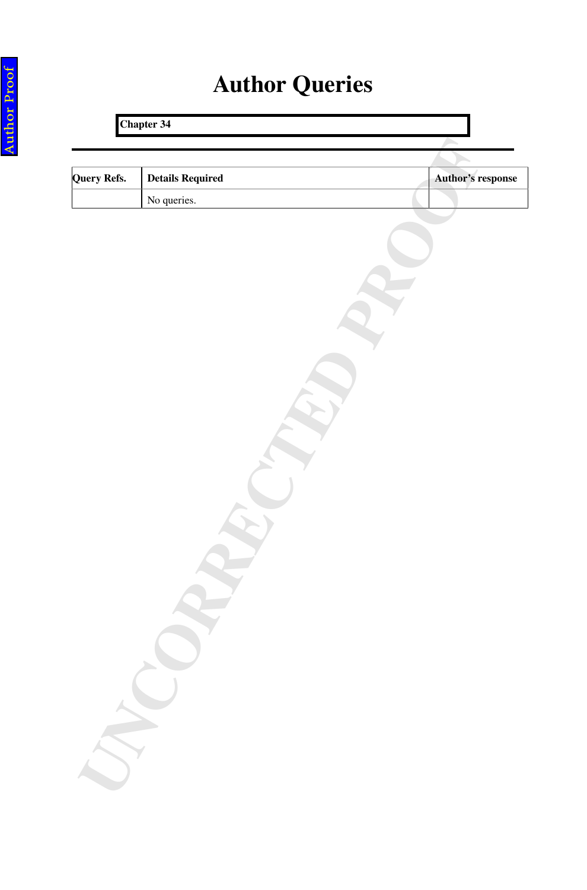## **Author Queries**

# <span id="page-10-0"></span>Mery Refs. Details Required<br>
No: queries.<br> **Examples Chapter 34 Query Refs.** Details Required **Details Required Author's response** No queries.